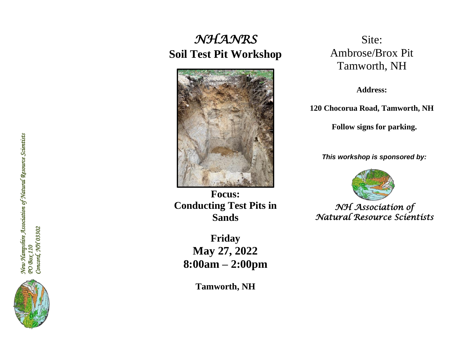# *NHANRS*  **Soil Test Pit Workshop**



**Focus: Conducting Test Pits in Sands**

**Friday May 27, 2022 8:00am – 2:00pm**

**Tamworth, NH**

Site: Ambrose/Brox Pit Tamworth, NH

**Address:** 

**120 Chocorua Road, Tamworth, NH**

**Follow signs for parking.**

*This workshop is sponsored by:*



*NH Association of Natural Resource Scientists* 

New Hampshire Association of Natural Resource Scientists<br>PO Box 110<br>Concord, NH 03302 *New Hampshire Association of Natural Resource Scientists PO Box 110 Concord, NH 03302*